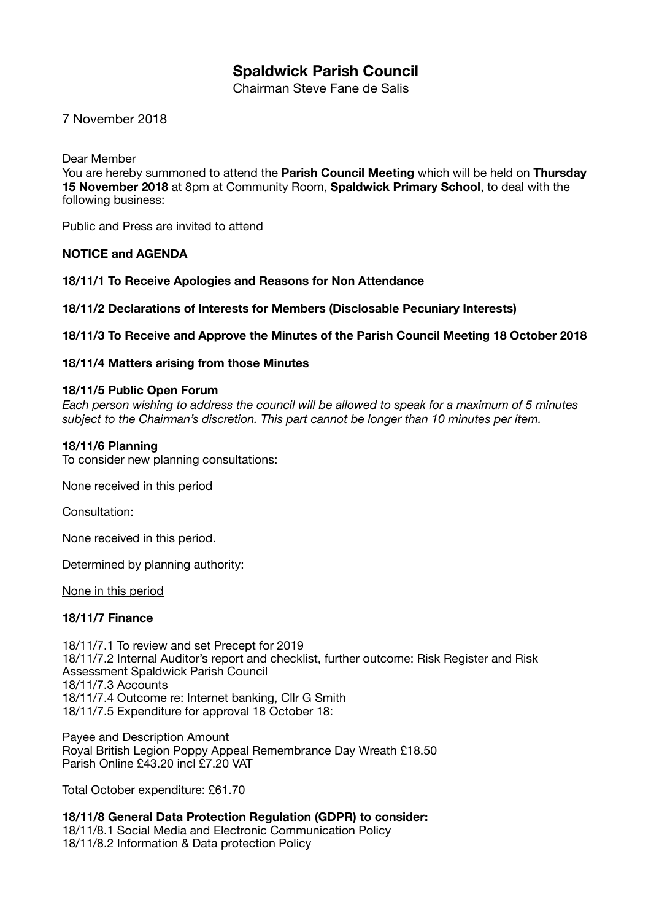# **Spaldwick Parish Council**

Chairman Steve Fane de Salis

7 November 2018

Dear Member

You are hereby summoned to attend the **Parish Council Meeting** which will be held on **Thursday 15 November 2018** at 8pm at Community Room, **Spaldwick Primary School**, to deal with the following business:

Public and Press are invited to attend

#### **NOTICE and AGENDA**

**18/11/1 To Receive Apologies and Reasons for Non Attendance** 

**18/11/2 Declarations of Interests for Members (Disclosable Pecuniary Interests)** 

**18/11/3 To Receive and Approve the Minutes of the Parish Council Meeting 18 October 2018** 

#### **18/11/4 Matters arising from those Minutes**

#### **18/11/5 Public Open Forum**

*Each person wishing to address the council will be allowed to speak for a maximum of 5 minutes subject to the Chairman's discretion. This part cannot be longer than 10 minutes per item.*

#### **18/11/6 Planning**

To consider new planning consultations:

None received in this period

Consultation:

None received in this period.

Determined by planning authority:

None in this period

## **18/11/7 Finance**

18/11/7.1 To review and set Precept for 2019 18/11/7.2 Internal Auditor's report and checklist, further outcome: Risk Register and Risk Assessment Spaldwick Parish Council 18/11/7.3 Accounts 18/11/7.4 Outcome re: Internet banking, Cllr G Smith 18/11/7.5 Expenditure for approval 18 October 18:

Payee and Description Amount Royal British Legion Poppy Appeal Remembrance Day Wreath £18.50 Parish Online £43.20 incl £7.20 VAT

Total October expenditure: £61.70

**18/11/8 General Data Protection Regulation (GDPR) to consider:**  18/11/8.1 Social Media and Electronic Communication Policy 18/11/8.2 Information & Data protection Policy